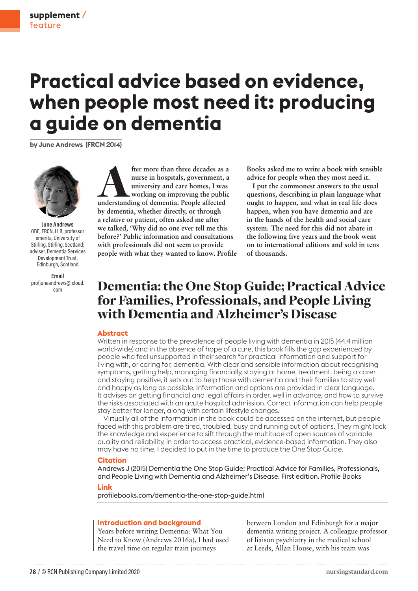# **Practical advice based on evidence, when people most need it: producing a guide on dementia**

**by June Andrews (FRCN 2014)**



**June Andrews** OBE, FRCN, LLB, professor emerita, University of Stirling, Stirling, Scotland; adviser, Dementia Services Development Trust, Edinburgh, Scotland

**Email** profjuneandrews@icloud. com

**fter more than three decades as a nurse in hospitals, government, a university and care homes, I was working on improving the public understanding of dementia. People affected nurse in hospitals, government, a university and care homes, I was working on improving the public by dementia, whether directly, or through a relative or patient, often asked me after we talked, 'Why did no one ever tell me this before?' Public information and consultations with professionals did not seem to provide people with what they wanted to know. Profile** 

**Books asked me to write a book with sensible advice for people when they most need it.** 

**I put the commonest answers to the usual questions, describing in plain language what ought to happen, and what in real life does happen, when you have dementia and are in the hands of the health and social care system. The need for this did not abate in the following five years and the book went on to international editions and sold in tens of thousands.**

## Dementia: the One Stop Guide; Practical Advice for Families, Professionals, and People Living with Dementia and Alzheimer's Disease

#### **Abstract**

Written in response to the prevalence of people living with dementia in 2015 (44.4 million world-wide) and in the absence of hope of a cure, this book fills the gap experienced by people who feel unsupported in their search for practical information and support for living with, or caring for, dementia. With clear and sensible information about recognising symptoms, getting help, managing financially, staying at home, treatment, being a carer and staying positive, it sets out to help those with dementia and their families to stay well and happy as long as possible. Information and options are provided in clear language. It advises on getting financial and legal affairs in order, well in advance, and how to survive the risks associated with an acute hospital admission. Correct information can help people stay better for longer, along with certain lifestyle changes.

Virtually all of the information in the book could be accessed on the internet, but people faced with this problem are tired, troubled, busy and running out of options. They might lack the knowledge and experience to sift through the multitude of open sources of variable quality and reliability, in order to access practical, evidence-based information. They also may have no time. I decided to put in the time to produce the One Stop Guide.

#### **Citation**

Andrews J (2015) Dementia the One Stop Guide; Practical Advice for Families, Professionals, and People Living with Dementia and Alzheimer's Disease. First edition. Profile Books

#### **Link**

profilebooks.com/dementia-the-one-stop-guide.html

#### **Introduction and background**

Years before writing Dementia: What You Need to Know (Andrews 2016a), I had used the travel time on regular train journeys

between London and Edinburgh for a major dementia writing project. A colleague professor of liaison psychiatry in the medical school at Leeds, Allan House, with his team was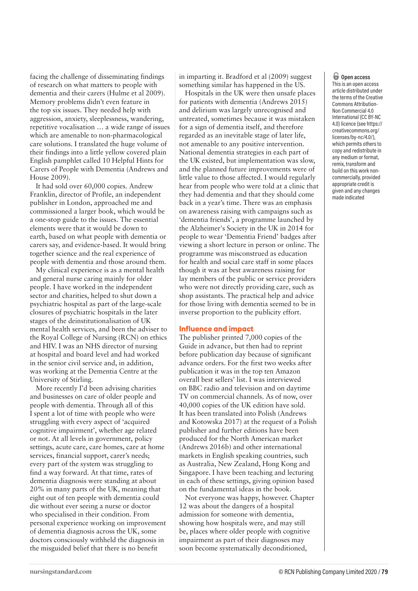facing the challenge of disseminating findings of research on what matters to people with dementia and their carers (Hulme et al 2009). Memory problems didn't even feature in the top six issues. They needed help with aggression, anxiety, sleeplessness, wandering, repetitive vocalisation … a wide range of issues which are amenable to non-pharmacological care solutions. I translated the huge volume of their findings into a little yellow covered plain English pamphlet called 10 Helpful Hints for Carers of People with Dementia (Andrews and House 2009).

It had sold over 60,000 copies. Andrew Franklin, director of Profile, an independent publisher in London, approached me and commissioned a larger book, which would be a one-stop guide to the issues. The essential elements were that it would be down to earth, based on what people with dementia or carers say, and evidence-based. It would bring together science and the real experience of people with dementia and those around them.

My clinical experience is as a mental health and general nurse caring mainly for older people. I have worked in the independent sector and charities, helped to shut down a psychiatric hospital as part of the large-scale closures of psychiatric hospitals in the later stages of the deinstitutionalisation of UK mental health services, and been the adviser to the Royal College of Nursing (RCN) on ethics and HIV. I was an NHS director of nursing at hospital and board level and had worked in the senior civil service and, in addition, was working at the Dementia Centre at the University of Stirling.

More recently I'd been advising charities and businesses on care of older people and people with dementia. Through all of this I spent a lot of time with people who were struggling with every aspect of 'acquired cognitive impairment', whether age related or not. At all levels in government, policy settings, acute care, care homes, care at home services, financial support, carer's needs; every part of the system was struggling to find a way forward. At that time, rates of dementia diagnosis were standing at about 20% in many parts of the UK, meaning that eight out of ten people with dementia could die without ever seeing a nurse or doctor who specialised in their condition. From personal experience working on improvement of dementia diagnosis across the UK, some doctors consciously withheld the diagnosis in the misguided belief that there is no benefit

in imparting it. Bradford et al (2009) suggest something similar has happened in the US.

Hospitals in the UK were then unsafe places for patients with dementia (Andrews 2015) and delirium was largely unrecognised and untreated, sometimes because it was mistaken for a sign of dementia itself, and therefore regarded as an inevitable stage of later life, not amenable to any positive intervention. National dementia strategies in each part of the UK existed, but implementation was slow, and the planned future improvements were of little value to those affected. I would regularly hear from people who were told at a clinic that they had dementia and that they should come back in a year's time. There was an emphasis on awareness raising with campaigns such as 'dementia friends', a programme launched by the Alzheimer's Society in the UK in 2014 for people to wear 'Dementia Friend' badges after viewing a short lecture in person or online. The programme was misconstrued as education for health and social care staff in some places though it was at best awareness raising for lay members of the public or service providers who were not directly providing care, such as shop assistants. The practical help and advice for those living with dementia seemed to be in inverse proportion to the publicity effort.

#### **Influence and impact**

The publisher printed 7,000 copies of the Guide in advance, but then had to reprint before publication day because of significant advance orders. For the first two weeks after publication it was in the top ten Amazon overall best sellers' list. I was interviewed on BBC radio and television and on daytime TV on commercial channels. As of now, over 40,000 copies of the UK edition have sold. It has been translated into Polish (Andrews and Kotowska 2017) at the request of a Polish publisher and further editions have been produced for the North American market (Andrews 2016b) and other international markets in English speaking countries, such as Australia, New Zealand, Hong Kong and Singapore. I have been teaching and lecturing in each of these settings, giving opinion based on the fundamental ideas in the book.

Not everyone was happy, however. Chapter 12 was about the dangers of a hospital admission for someone with dementia, showing how hospitals were, and may still be, places where older people with cognitive impairment as part of their diagnoses may soon become systematically deconditioned,

### o **Open access**

This is an open access article distributed under the terms of the Creative Commons Attribution-Non Commercial 4.0 International (CC BY-NC 4.0) licence (see https:// creativecommons.org/ licenses/by-nc/4.0/), which permits others to copy and redistribute in any medium or format, remix, transform and build on this work noncommercially, provided appropriate credit is given and any changes made indicated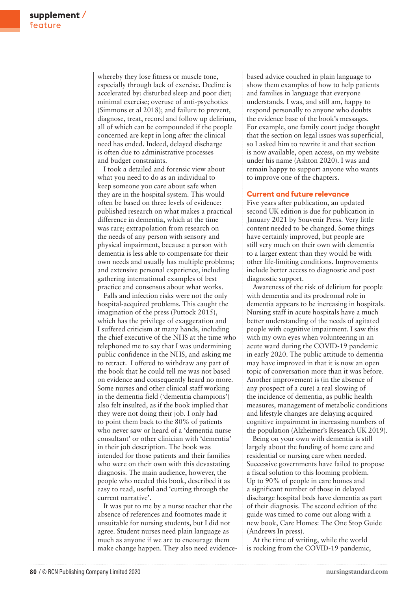whereby they lose fitness or muscle tone, especially through lack of exercise. Decline is accelerated by: disturbed sleep and poor diet; minimal exercise; overuse of anti-psychotics (Simmons et al 2018); and failure to prevent, diagnose, treat, record and follow up delirium, all of which can be compounded if the people concerned are kept in long after the clinical need has ended. Indeed, delayed discharge is often due to administrative processes and budget constraints.

I took a detailed and forensic view about what you need to do as an individual to keep someone you care about safe when they are in the hospital system. This would often be based on three levels of evidence: published research on what makes a practical difference in dementia, which at the time was rare; extrapolation from research on the needs of any person with sensory and physical impairment, because a person with dementia is less able to compensate for their own needs and usually has multiple problems; and extensive personal experience, including gathering international examples of best practice and consensus about what works.

Falls and infection risks were not the only hospital-acquired problems. This caught the imagination of the press (Puttock 2015), which has the privilege of exaggeration and I suffered criticism at many hands, including the chief executive of the NHS at the time who telephoned me to say that I was undermining public confidence in the NHS, and asking me to retract. I offered to withdraw any part of the book that he could tell me was not based on evidence and consequently heard no more. Some nurses and other clinical staff working in the dementia field ('dementia champions') also felt insulted, as if the book implied that they were not doing their job. I only had to point them back to the 80% of patients who never saw or heard of a 'dementia nurse consultant' or other clinician with 'dementia' in their job description. The book was intended for those patients and their families who were on their own with this devastating diagnosis. The main audience, however, the people who needed this book, described it as easy to read, useful and 'cutting through the current narrative'.

It was put to me by a nurse teacher that the absence of references and footnotes made it unsuitable for nursing students, but I did not agree. Student nurses need plain language as much as anyone if we are to encourage them make change happen. They also need evidencebased advice couched in plain language to show them examples of how to help patients and families in language that everyone understands. I was, and still am, happy to respond personally to anyone who doubts the evidence base of the book's messages. For example, one family court judge thought that the section on legal issues was superficial, so I asked him to rewrite it and that section is now available, open access, on my website under his name (Ashton 2020). I was and remain happy to support anyone who wants to improve one of the chapters.

#### **Current and future relevance**

Five years after publication, an updated second UK edition is due for publication in January 2021 by Souvenir Press. Very little content needed to be changed. Some things have certainly improved, but people are still very much on their own with dementia to a larger extent than they would be with other life-limiting conditions. Improvements include better access to diagnostic and post diagnostic support.

Awareness of the risk of delirium for people with dementia and its prodromal role in dementia appears to be increasing in hospitals. Nursing staff in acute hospitals have a much better understanding of the needs of agitated people with cognitive impairment. I saw this with my own eyes when volunteering in an acute ward during the COVID-19 pandemic in early 2020. The public attitude to dementia may have improved in that it is now an open topic of conversation more than it was before. Another improvement is (in the absence of any prospect of a cure) a real slowing of the incidence of dementia, as public health measures, management of metabolic conditions and lifestyle changes are delaying acquired cognitive impairment in increasing numbers of the population (Alzheimer's Research UK 2019).

Being on your own with dementia is still largely about the funding of home care and residential or nursing care when needed. Successive governments have failed to propose a fiscal solution to this looming problem. Up to 90% of people in care homes and a significant number of those in delayed discharge hospital beds have dementia as part of their diagnosis. The second edition of the guide was timed to come out along with a new book, Care Homes: The One Stop Guide (Andrews In press).

At the time of writing, while the world is rocking from the COVID-19 pandemic,